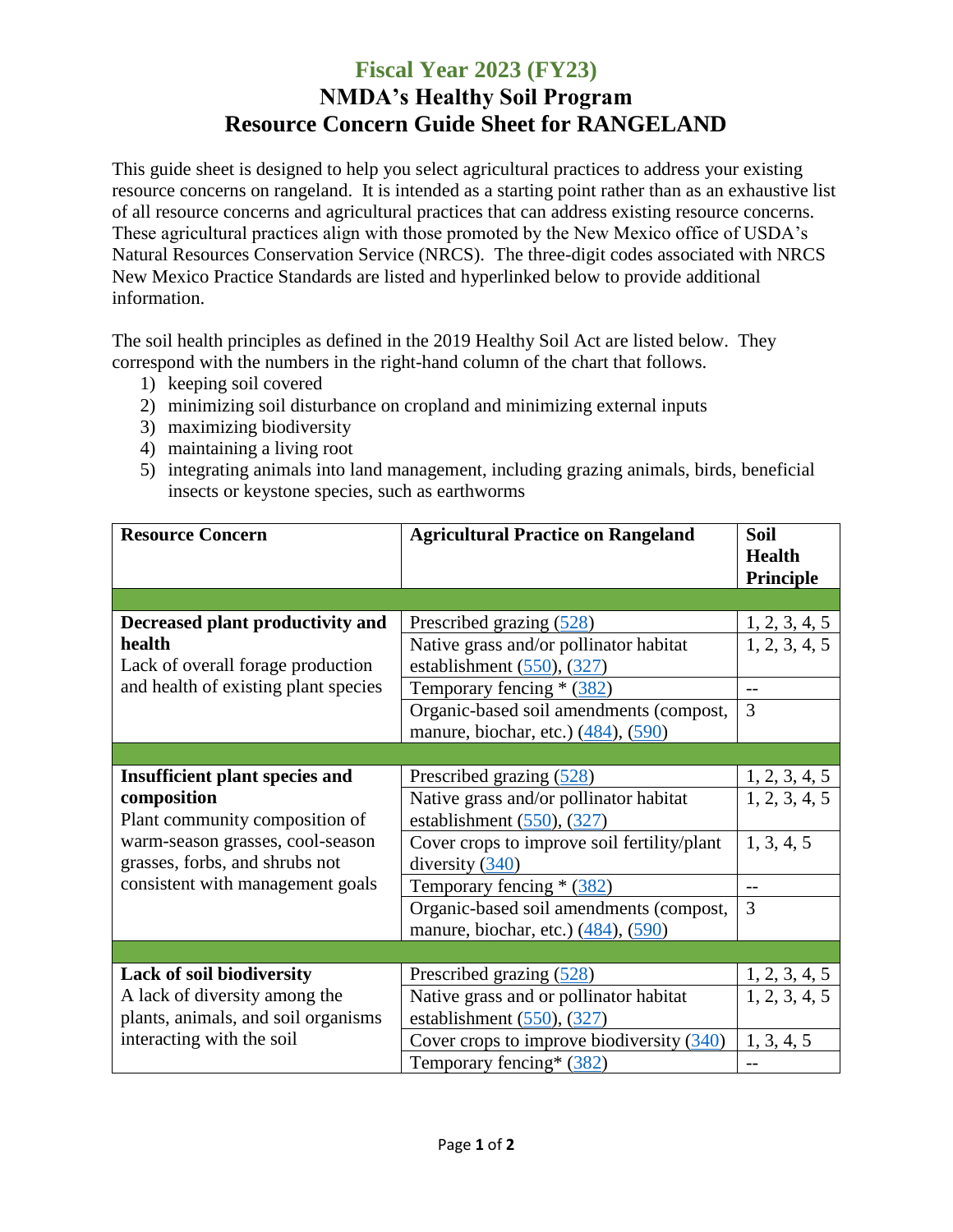## **Fiscal Year 2023 (FY23) NMDA's Healthy Soil Program Resource Concern Guide Sheet for RANGELAND**

This guide sheet is designed to help you select agricultural practices to address your existing resource concerns on rangeland. It is intended as a starting point rather than as an exhaustive list of all resource concerns and agricultural practices that can address existing resource concerns. These agricultural practices align with those promoted by the New Mexico office of USDA's Natural Resources Conservation Service (NRCS). The three-digit codes associated with NRCS New Mexico Practice Standards are listed and hyperlinked below to provide additional information.

The soil health principles as defined in the 2019 Healthy Soil Act are listed below. They correspond with the numbers in the right-hand column of the chart that follows.

- 1) keeping soil covered
- 2) minimizing soil disturbance on cropland and minimizing external inputs
- 3) maximizing biodiversity
- 4) maintaining a living root
- 5) integrating animals into land management, including grazing animals, birds, beneficial insects or keystone species, such as earthworms

| <b>Resource Concern</b>               | <b>Agricultural Practice on Rangeland</b>   | Soil                                  |
|---------------------------------------|---------------------------------------------|---------------------------------------|
|                                       |                                             | <b>Health</b><br><b>Principle</b>     |
|                                       |                                             |                                       |
| Decreased plant productivity and      | Prescribed grazing (528)                    | $\frac{1, 2, 3, 4, 5}{1, 2, 3, 4, 5}$ |
| health                                | Native grass and/or pollinator habitat      |                                       |
| Lack of overall forage production     | establishment $(550)$ , $(327)$             |                                       |
| and health of existing plant species  | Temporary fencing * (382)                   | --                                    |
|                                       | Organic-based soil amendments (compost,     | 3                                     |
|                                       | manure, biochar, etc.) (484), (590)         |                                       |
|                                       |                                             |                                       |
| <b>Insufficient plant species and</b> | Prescribed grazing (528)                    | $\frac{1, 2, 3, 4, 5}{1, 2, 3, 4, 5}$ |
| composition                           | Native grass and/or pollinator habitat      |                                       |
| Plant community composition of        | establishment $(550)$ , $(327)$             |                                       |
| warm-season grasses, cool-season      | Cover crops to improve soil fertility/plant | 1, 3, 4, 5                            |
| grasses, forbs, and shrubs not        | diversity $(340)$                           |                                       |
| consistent with management goals      | Temporary fencing * (382)                   |                                       |
|                                       | Organic-based soil amendments (compost,     | 3                                     |
|                                       | manure, biochar, etc.) (484), (590)         |                                       |
|                                       |                                             |                                       |
| <b>Lack of soil biodiversity</b>      | Prescribed grazing (528)                    | $\frac{1, 2, 3, 4, 5}{1, 2, 3, 4, 5}$ |
| A lack of diversity among the         | Native grass and or pollinator habitat      |                                       |
| plants, animals, and soil organisms   | establishment $(550)$ , $(327)$             |                                       |
| interacting with the soil             | Cover crops to improve biodiversity $(340)$ | 1, 3, 4, 5                            |
|                                       | Temporary fencing* (382)                    |                                       |